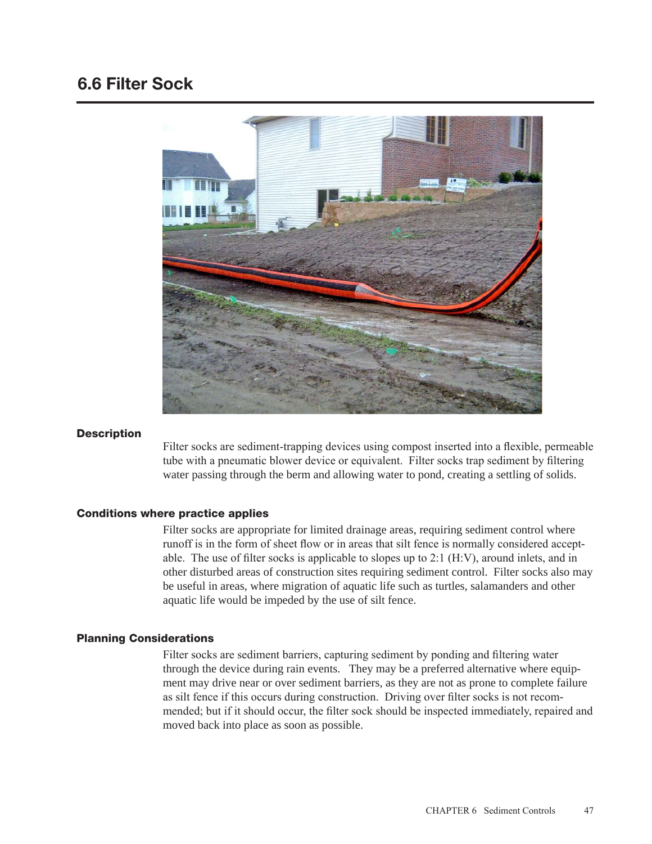# 6.6 Filter Sock



## **Description**

Filter socks are sediment-trapping devices using compost inserted into a flexible, permeable tube with a pneumatic blower device or equivalent. Filter socks trap sediment by filtering water passing through the berm and allowing water to pond, creating a settling of solids.

### Conditions where practice applies

Filter socks are appropriate for limited drainage areas, requiring sediment control where runoff is in the form of sheet flow or in areas that silt fence is normally considered acceptable. The use of filter socks is applicable to slopes up to  $2:1$  (H:V), around inlets, and in other disturbed areas of construction sites requiring sediment control. Filter socks also may be useful in areas, where migration of aquatic life such as turtles, salamanders and other aquatic life would be impeded by the use of silt fence.

## Planning Considerations

Filter socks are sediment barriers, capturing sediment by ponding and filtering water through the device during rain events. They may be a preferred alternative where equipment may drive near or over sediment barriers, as they are not as prone to complete failure as silt fence if this occurs during construction. Driving over filter socks is not recommended; but if it should occur, the filter sock should be inspected immediately, repaired and moved back into place as soon as possible.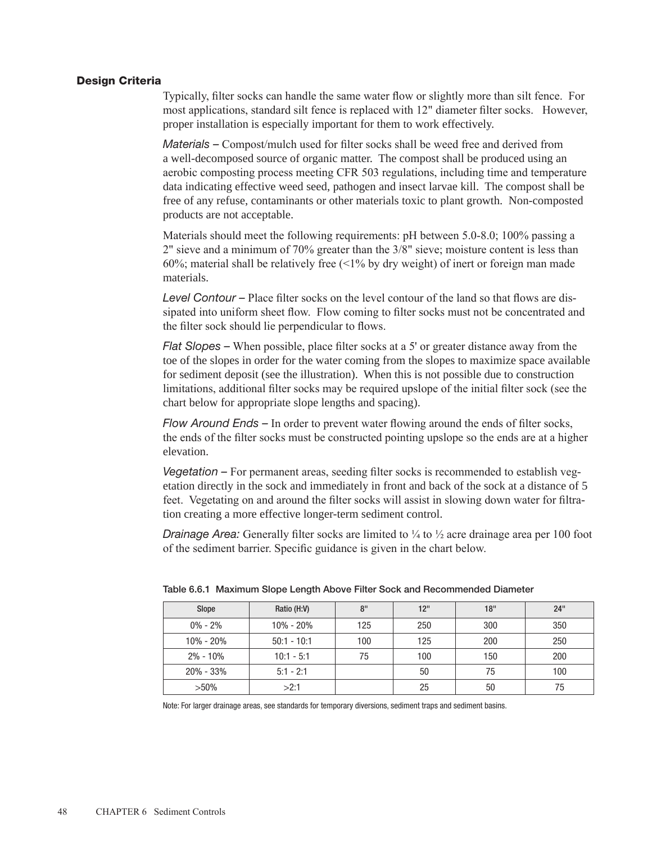#### Design Criteria

Typically, filter socks can handle the same water flow or slightly more than silt fence. For most applications, standard silt fence is replaced with 12" diameter filter socks. However, proper installation is especially important for them to work effectively.

*Materials –* Compost/mulch used for filter socks shall be weed free and derived from a well-decomposed source of organic matter. The compost shall be produced using an aerobic composting process meeting CFR 503 regulations, including time and temperature data indicating effective weed seed, pathogen and insect larvae kill. The compost shall be free of any refuse, contaminants or other materials toxic to plant growth. Non-composted products are not acceptable.

Materials should meet the following requirements: pH between 5.0-8.0; 100% passing a 2" sieve and a minimum of 70% greater than the 3/8" sieve; moisture content is less than 60%; material shall be relatively free  $\left($  < 1% by dry weight) of inert or foreign man made materials.

*Level Contour –* Place filter socks on the level contour of the land so that flows are dissipated into uniform sheet flow. Flow coming to filter socks must not be concentrated and the filter sock should lie perpendicular to flows.

*Flat Slopes –* When possible, place filter socks at a 5' or greater distance away from the toe of the slopes in order for the water coming from the slopes to maximize space available for sediment deposit (see the illustration). When this is not possible due to construction limitations, additional filter socks may be required upslope of the initial filter sock (see the chart below for appropriate slope lengths and spacing).

*Flow Around Ends –* In order to prevent water flowing around the ends of filter socks, the ends of the filter socks must be constructed pointing upslope so the ends are at a higher elevation.

*Vegetation –* For permanent areas, seeding filter socks is recommended to establish vegetation directly in the sock and immediately in front and back of the sock at a distance of 5 feet. Vegetating on and around the filter socks will assist in slowing down water for filtration creating a more effective longer-term sediment control.

*Drainage Area:* Generally filter socks are limited to  $\frac{1}{4}$  to  $\frac{1}{2}$  acre drainage area per 100 foot of the sediment barrier. Specific guidance is given in the chart below.

| Slope         | Ratio (H:V)   | 8"  | 12" | 18" | 24" |
|---------------|---------------|-----|-----|-----|-----|
| $0\% - 2\%$   | $10\% - 20\%$ | 125 | 250 | 300 | 350 |
| 10% - 20%     | $50:1 - 10:1$ | 100 | 125 | 200 | 250 |
| $2\% - 10\%$  | $10:1 - 5:1$  | 75  | 100 | 150 | 200 |
| $20\% - 33\%$ | $5:1 - 2:1$   |     | 50  | 75  | 100 |
| $>50\%$       | >2:1          |     | 25  | 50  | 75  |

Table 6.6.1 Maximum Slope Length Above Filter Sock and Recommended Diameter

Note: For larger drainage areas, see standards for temporary diversions, sediment traps and sediment basins.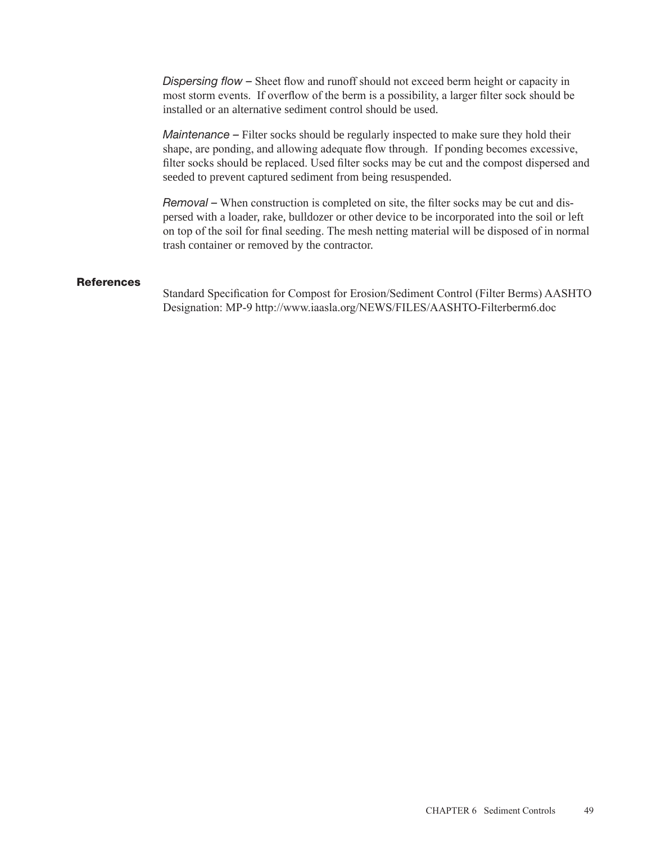*Dispersing flow –* Sheet flow and runoff should not exceed berm height or capacity in most storm events. If overflow of the berm is a possibility, a larger filter sock should be installed or an alternative sediment control should be used.

*Maintenance –* Filter socks should be regularly inspected to make sure they hold their shape, are ponding, and allowing adequate flow through. If ponding becomes excessive, filter socks should be replaced. Used filter socks may be cut and the compost dispersed and seeded to prevent captured sediment from being resuspended.

*Removal* – When construction is completed on site, the filter socks may be cut and dispersed with a loader, rake, bulldozer or other device to be incorporated into the soil or left on top of the soil for final seeding. The mesh netting material will be disposed of in normal trash container or removed by the contractor.

## **References**

Standard Specification for Compost for Erosion/Sediment Control (Filter Berms) AASHTO Designation: MP-9 http://www.iaasla.org/NEWS/FILES/AASHTO-Filterberm6.doc